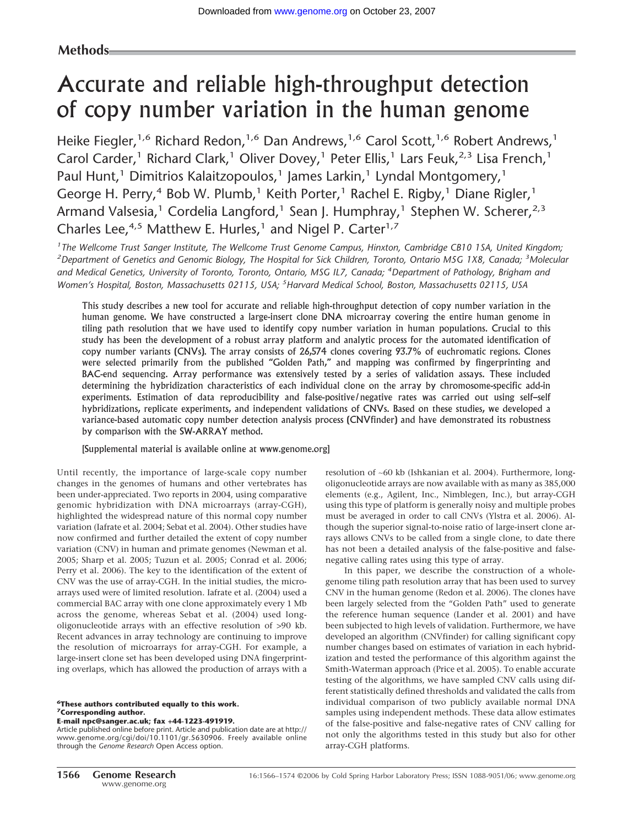# **Methods**

# Accurate and reliable high-throughput detection of copy number variation in the human genome

Heike Fiegler,<sup>1,6</sup> Richard Redon,<sup>1,6</sup> Dan Andrews,<sup>1,6</sup> Carol Scott,<sup>1,6</sup> Robert Andrews,<sup>1</sup> Carol Carder,<sup>1</sup> Richard Clark,<sup>1</sup> Oliver Dovey,<sup>1</sup> Peter Ellis,<sup>1</sup> Lars Feuk,<sup>2,3</sup> Lisa French,<sup>1</sup> Paul Hunt,<sup>1</sup> Dimitrios Kalaitzopoulos,<sup>1</sup> James Larkin,<sup>1</sup> Lyndal Montgomery,<sup>1</sup> George H. Perry,<sup>4</sup> Bob W. Plumb,<sup>1</sup> Keith Porter,<sup>1</sup> Rachel E. Rigby,<sup>1</sup> Diane Rigler,<sup>1</sup> Armand Valsesia,<sup>1</sup> Cordelia Langford,<sup>1</sup> Sean J. Humphray,<sup>1</sup> Stephen W. Scherer,<sup>2,3</sup> Charles Lee,<sup>4,5</sup> Matthew E. Hurles,<sup>1</sup> and Nigel P. Carter<sup>1,7</sup>

*1 The Wellcome Trust Sanger Institute, The Wellcome Trust Genome Campus, Hinxton, Cambridge CB10 1SA, United Kingdom; 2 Department of Genetics and Genomic Biology, The Hospital for Sick Children, Toronto, Ontario M5G 1X8, Canada; <sup>3</sup> Molecular and Medical Genetics, University of Toronto, Toronto, Ontario, MSG IL7, Canada; <sup>4</sup> Department of Pathology, Brigham and Women's Hospital, Boston, Massachusetts 02115, USA; <sup>5</sup> Harvard Medical School, Boston, Massachusetts 02115, USA*

This study describes a new tool for accurate and reliable high-throughput detection of copy number variation in the human genome. We have constructed a large-insert clone DNA microarray covering the entire human genome in tiling path resolution that we have used to identify copy number variation in human populations. Crucial to this study has been the development of a robust array platform and analytic process for the automated identification of copy number variants (CNVs). The array consists of 26,574 clones covering 93.7% of euchromatic regions. Clones were selected primarily from the published "Golden Path," and mapping was confirmed by fingerprinting and BAC-end sequencing. Array performance was extensively tested by a series of validation assays. These included determining the hybridization characteristics of each individual clone on the array by chromosome-specific add-in experiments. Estimation of data reproducibility and false-positive/negative rates was carried out using self–self hybridizations, replicate experiments, and independent validations of CNVs. Based on these studies, we developed a variance-based automatic copy number detection analysis process (CNVfinder) and have demonstrated its robustness by comparison with the SW-ARRAY method.

# [Supplemental material is available online at www.genome.org]

Until recently, the importance of large-scale copy number changes in the genomes of humans and other vertebrates has been under-appreciated. Two reports in 2004, using comparative genomic hybridization with DNA microarrays (array-CGH), highlighted the widespread nature of this normal copy number variation (Iafrate et al. 2004; Sebat et al. 2004). Other studies have now confirmed and further detailed the extent of copy number variation (CNV) in human and primate genomes (Newman et al. 2005; Sharp et al. 2005; Tuzun et al. 2005; Conrad et al. 2006; Perry et al. 2006). The key to the identification of the extent of CNV was the use of array-CGH. In the initial studies, the microarrays used were of limited resolution. Iafrate et al. (2004) used a commercial BAC array with one clone approximately every 1 Mb across the genome, whereas Sebat et al. (2004) used longoligonucleotide arrays with an effective resolution of >90 kb. Recent advances in array technology are continuing to improve the resolution of microarrays for array-CGH. For example, a large-insert clone set has been developed using DNA fingerprinting overlaps, which has allowed the production of arrays with a

**6These authors contributed equally to this work. 7Corresponding author.**

**E-mail npc@sanger.ac.uk; fax +44-1223-491919.**

Article published online before print. Article and publication date are at http:// www.genome.org/cgi/doi/10.1101/gr.5630906. Freely available online through the *Genome Research* Open Access option.

resolution of ∼60 kb (Ishkanian et al. 2004). Furthermore, longoligonucleotide arrays are now available with as many as 385,000 elements (e.g., Agilent, Inc., Nimblegen, Inc.), but array-CGH using this type of platform is generally noisy and multiple probes must be averaged in order to call CNVs (Ylstra et al. 2006). Although the superior signal-to-noise ratio of large-insert clone arrays allows CNVs to be called from a single clone, to date there has not been a detailed analysis of the false-positive and falsenegative calling rates using this type of array.

In this paper, we describe the construction of a wholegenome tiling path resolution array that has been used to survey CNV in the human genome (Redon et al. 2006). The clones have been largely selected from the "Golden Path" used to generate the reference human sequence (Lander et al. 2001) and have been subjected to high levels of validation. Furthermore, we have developed an algorithm (CNVfinder) for calling significant copy number changes based on estimates of variation in each hybridization and tested the performance of this algorithm against the Smith-Waterman approach (Price et al. 2005). To enable accurate testing of the algorithms, we have sampled CNV calls using different statistically defined thresholds and validated the calls from individual comparison of two publicly available normal DNA samples using independent methods. These data allow estimates of the false-positive and false-negative rates of CNV calling for not only the algorithms tested in this study but also for other array-CGH platforms.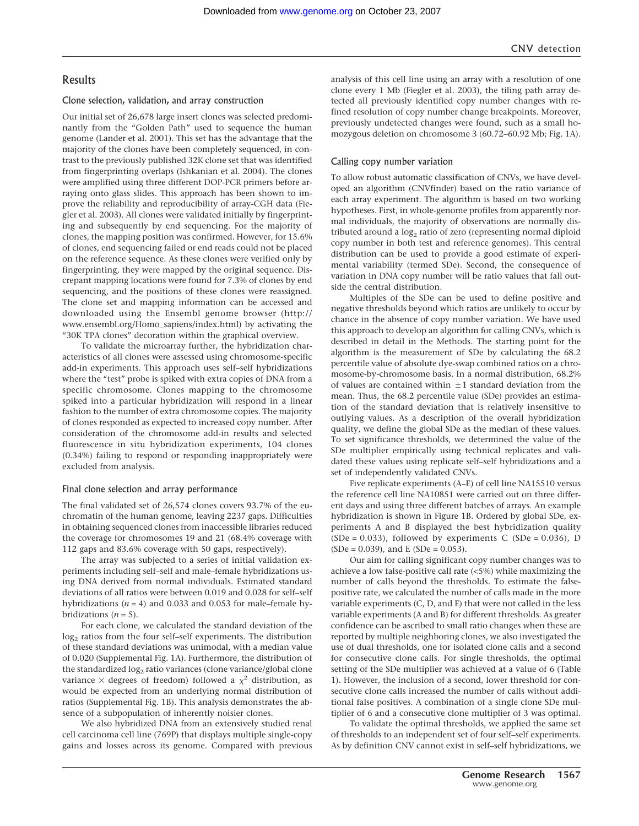# Results

## Clone selection, validation, and array construction

Our initial set of 26,678 large insert clones was selected predominantly from the "Golden Path" used to sequence the human genome (Lander et al. 2001). This set has the advantage that the majority of the clones have been completely sequenced, in contrast to the previously published 32K clone set that was identified from fingerprinting overlaps (Ishkanian et al. 2004). The clones were amplified using three different DOP-PCR primers before arraying onto glass slides. This approach has been shown to improve the reliability and reproducibility of array-CGH data (Fiegler et al. 2003). All clones were validated initially by fingerprinting and subsequently by end sequencing. For the majority of clones, the mapping position was confirmed. However, for 15.6% of clones, end sequencing failed or end reads could not be placed on the reference sequence. As these clones were verified only by fingerprinting, they were mapped by the original sequence. Discrepant mapping locations were found for 7.3% of clones by end sequencing, and the positions of these clones were reassigned. The clone set and mapping information can be accessed and downloaded using the Ensembl genome browser (http:// www.ensembl.org/Homo\_sapiens/index.html) by activating the "30K TPA clones" decoration within the graphical overview.

To validate the microarray further, the hybridization characteristics of all clones were assessed using chromosome-specific add-in experiments. This approach uses self–self hybridizations where the "test" probe is spiked with extra copies of DNA from a specific chromosome. Clones mapping to the chromosome spiked into a particular hybridization will respond in a linear fashion to the number of extra chromosome copies. The majority of clones responded as expected to increased copy number. After consideration of the chromosome add-in results and selected fluorescence in situ hybridization experiments, 104 clones (0.34%) failing to respond or responding inappropriately were excluded from analysis.

## Final clone selection and array performance

The final validated set of 26,574 clones covers 93.7% of the euchromatin of the human genome, leaving 2237 gaps. Difficulties in obtaining sequenced clones from inaccessible libraries reduced the coverage for chromosomes 19 and 21 (68.4% coverage with 112 gaps and 83.6% coverage with 50 gaps, respectively).

The array was subjected to a series of initial validation experiments including self–self and male–female hybridizations using DNA derived from normal individuals. Estimated standard deviations of all ratios were between 0.019 and 0.028 for self–self hybridizations  $(n = 4)$  and 0.033 and 0.053 for male–female hybridizations  $(n = 5)$ .

For each clone, we calculated the standard deviation of the  $log<sub>2</sub>$  ratios from the four self–self experiments. The distribution of these standard deviations was unimodal, with a median value of 0.020 (Supplemental Fig. 1A). Furthermore, the distribution of the standardized  $log_2$  ratio variances (clone variance/global clone variance  $\times$  degrees of freedom) followed a  $\chi^2$  distribution, as would be expected from an underlying normal distribution of ratios (Supplemental Fig. 1B). This analysis demonstrates the absence of a subpopulation of inherently noisier clones.

We also hybridized DNA from an extensively studied renal cell carcinoma cell line (769P) that displays multiple single-copy gains and losses across its genome. Compared with previous

analysis of this cell line using an array with a resolution of one clone every 1 Mb (Fiegler et al. 2003), the tiling path array detected all previously identified copy number changes with refined resolution of copy number change breakpoints. Moreover, previously undetected changes were found, such as a small homozygous deletion on chromosome 3 (60.72–60.92 Mb; Fig. 1A).

## Calling copy number variation

To allow robust automatic classification of CNVs, we have developed an algorithm (CNVfinder) based on the ratio variance of each array experiment. The algorithm is based on two working hypotheses. First, in whole-genome profiles from apparently normal individuals, the majority of observations are normally distributed around a  $log<sub>2</sub>$  ratio of zero (representing normal diploid copy number in both test and reference genomes). This central distribution can be used to provide a good estimate of experimental variability (termed SDe). Second, the consequence of variation in DNA copy number will be ratio values that fall outside the central distribution.

Multiples of the SDe can be used to define positive and negative thresholds beyond which ratios are unlikely to occur by chance in the absence of copy number variation. We have used this approach to develop an algorithm for calling CNVs, which is described in detail in the Methods. The starting point for the algorithm is the measurement of SDe by calculating the 68.2 percentile value of absolute dye-swap combined ratios on a chromosome-by-chromosome basis. In a normal distribution, 68.2% of values are contained within  $\pm 1$  standard deviation from the mean. Thus, the 68.2 percentile value (SDe) provides an estimation of the standard deviation that is relatively insensitive to outlying values. As a description of the overall hybridization quality, we define the global SDe as the median of these values. To set significance thresholds, we determined the value of the SDe multiplier empirically using technical replicates and validated these values using replicate self–self hybridizations and a set of independently validated CNVs.

Five replicate experiments (A–E) of cell line NA15510 versus the reference cell line NA10851 were carried out on three different days and using three different batches of arrays. An example hybridization is shown in Figure 1B. Ordered by global SDe, experiments A and B displayed the best hybridization quality (SDe = 0.033), followed by experiments C (SDe = 0.036), D  $(SDe = 0.039)$ , and E  $(SDe = 0.053)$ .

Our aim for calling significant copy number changes was to achieve a low false-positive call rate (<5%) while maximizing the number of calls beyond the thresholds. To estimate the falsepositive rate, we calculated the number of calls made in the more variable experiments (C, D, and E) that were not called in the less variable experiments (A and B) for different thresholds. As greater confidence can be ascribed to small ratio changes when these are reported by multiple neighboring clones, we also investigated the use of dual thresholds, one for isolated clone calls and a second for consecutive clone calls. For single thresholds, the optimal setting of the SDe multiplier was achieved at a value of 6 (Table 1). However, the inclusion of a second, lower threshold for consecutive clone calls increased the number of calls without additional false positives. A combination of a single clone SDe multiplier of 6 and a consecutive clone multiplier of 3 was optimal.

To validate the optimal thresholds, we applied the same set of thresholds to an independent set of four self–self experiments. As by definition CNV cannot exist in self–self hybridizations, we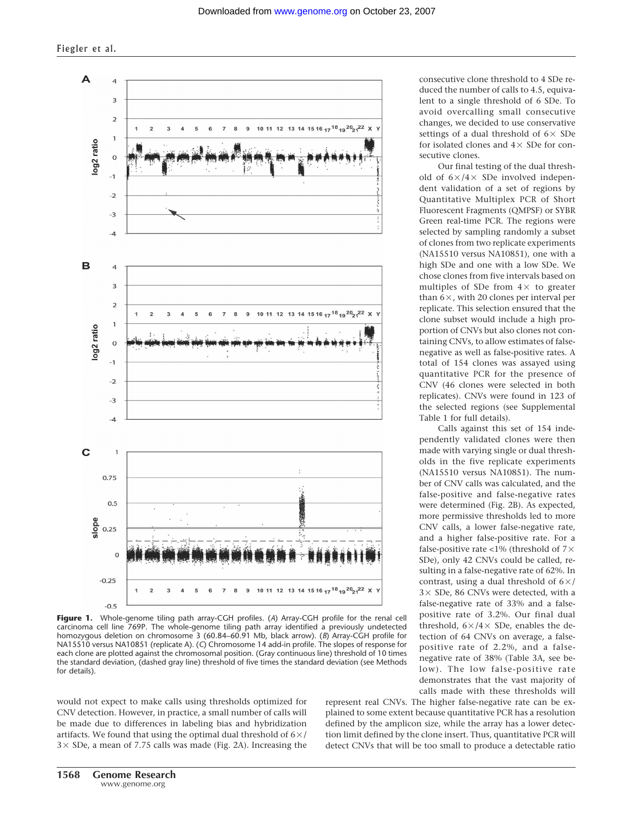

**Figure 1.** Whole-genome tiling path array-CGH profiles. (*A*) Array-CGH profile for the renal cell carcinoma cell line 769P. The whole-genome tiling path array identified a previously undetected homozygous deletion on chromosome 3 (60.84–60.91 Mb, black arrow). (*B*) Array-CGH profile for NA15510 versus NA10851 (replicate A). (*C*) Chromosome 14 add-in profile. The slopes of response for each clone are plotted against the chromosomal position. (Gray continuous line) threshold of 10 times the standard deviation, (dashed gray line) threshold of five times the standard deviation (see Methods for details).

would not expect to make calls using thresholds optimized for CNV detection. However, in practice, a small number of calls will be made due to differences in labeling bias and hybridization artifacts. We found that using the optimal dual threshold of  $6\times/$  $3 \times$  SDe, a mean of 7.75 calls was made (Fig. 2A). Increasing the

consecutive clone threshold to 4 SDe reduced the number of calls to 4.5, equivalent to a single threshold of 6 SDe. To avoid overcalling small consecutive changes, we decided to use conservative settings of a dual threshold of  $6 \times$  SDe for isolated clones and  $4 \times$  SDe for consecutive clones.

Our final testing of the dual threshold of  $6\times/4\times$  SDe involved independent validation of a set of regions by Quantitative Multiplex PCR of Short Fluorescent Fragments (QMPSF) or SYBR Green real-time PCR. The regions were selected by sampling randomly a subset of clones from two replicate experiments (NA15510 versus NA10851), one with a high SDe and one with a low SDe. We chose clones from five intervals based on multiples of SDe from  $4 \times$  to greater than  $6\times$ , with 20 clones per interval per replicate. This selection ensured that the clone subset would include a high proportion of CNVs but also clones not containing CNVs, to allow estimates of falsenegative as well as false-positive rates. A total of 154 clones was assayed using quantitative PCR for the presence of CNV (46 clones were selected in both replicates). CNVs were found in 123 of the selected regions (see Supplemental Table 1 for full details).

Calls against this set of 154 independently validated clones were then made with varying single or dual thresholds in the five replicate experiments (NA15510 versus NA10851). The number of CNV calls was calculated, and the false-positive and false-negative rates were determined (Fig. 2B). As expected, more permissive thresholds led to more CNV calls, a lower false-negative rate, and a higher false-positive rate. For a false-positive rate <1% (threshold of  $7\times$ SDe), only 42 CNVs could be called, resulting in a false-negative rate of 62%. In contrast, using a dual threshold of  $6\times$ /  $3 \times$  SDe, 86 CNVs were detected, with a false-negative rate of 33% and a falsepositive rate of 3.2%. Our final dual threshold,  $6 \times /4 \times$  SDe, enables the detection of 64 CNVs on average, a falsepositive rate of 2.2%, and a falsenegative rate of 38% (Table 3A, see below). The low false-positive rate demonstrates that the vast majority of calls made with these thresholds will

represent real CNVs. The higher false-negative rate can be explained to some extent because quantitative PCR has a resolution defined by the amplicon size, while the array has a lower detection limit defined by the clone insert. Thus, quantitative PCR will detect CNVs that will be too small to produce a detectable ratio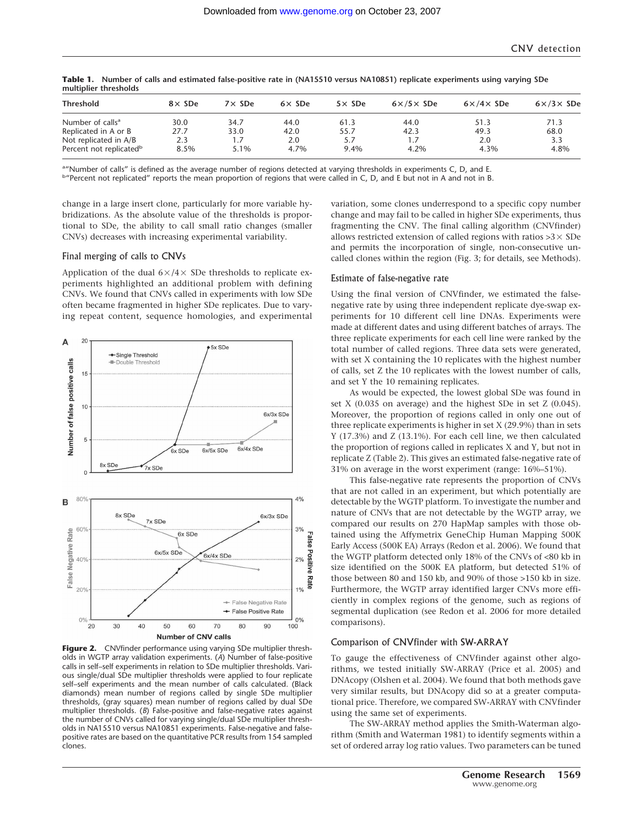| multiplier thresholds                                        |               |               |                |                |                          |                           |                         |  |
|--------------------------------------------------------------|---------------|---------------|----------------|----------------|--------------------------|---------------------------|-------------------------|--|
| <b>Threshold</b>                                             | $8\times$ SDe | $7\times$ SDe | $6 \times$ SDe | $5 \times$ SDe | $6 \times 75 \times$ SDe | $6 \times / 4 \times$ SDe | $6 \times 3 \times$ SDe |  |
| Number of calls <sup>a</sup>                                 | 30.0          | 34.7          | 44.0           | 61.3           | 44.0                     | 51.3                      | 71.3                    |  |
| Replicated in A or B                                         | 27.7          | 33.0          | 42.0           | 55.7           | 42.3                     | 49.3                      | 68.0                    |  |
| Not replicated in A/B<br>Percent not replicated <sup>b</sup> | 2.3<br>8.5%   | 5.1%          | 2.0<br>4.7%    | 5.7<br>9.4%    | 1.7<br>4.2%              | 2.0<br>4.3%               | 3.3<br>4.8%             |  |

**Table 1. Number of calls and estimated false-positive rate in (NA15510 versus NA10851) replicate experiments using varying SDe**

a"Number of calls" is defined as the average number of regions detected at varying thresholds in experiments C, D, and E.

""Number of calls" is defined as the average number of regions detected at varying thresholds in experiments C, D, and E.<br><sup>b</sup>"Percent not replicated" reports the mean proportion of regions that were called in C, D, and E b

change in a large insert clone, particularly for more variable hybridizations. As the absolute value of the thresholds is proportional to SDe, the ability to call small ratio changes (smaller CNVs) decreases with increasing experimental variability.

## Final merging of calls to CNVs

Application of the dual  $6\times/4\times$  SDe thresholds to replicate experiments highlighted an additional problem with defining CNVs. We found that CNVs called in experiments with low SDe often became fragmented in higher SDe replicates. Due to varying repeat content, sequence homologies, and experimental



**Figure 2.** CNVfinder performance using varying SDe multiplier thresholds in WGTP array validation experiments. (*A*) Number of false-positive calls in self–self experiments in relation to SDe multiplier thresholds. Various single/dual SDe multiplier thresholds were applied to four replicate self–self experiments and the mean number of calls calculated. (Black diamonds) mean number of regions called by single SDe multiplier thresholds, (gray squares) mean number of regions called by dual SDe multiplier thresholds. (*B*) False-positive and false-negative rates against the number of CNVs called for varying single/dual SDe multiplier thresholds in NA15510 versus NA10851 experiments. False-negative and falsepositive rates are based on the quantitative PCR results from 154 sampled clones.

variation, some clones underrespond to a specific copy number change and may fail to be called in higher SDe experiments, thus fragmenting the CNV. The final calling algorithm (CNVfinder) allows restricted extension of called regions with ratios  $>3 \times$  SDe and permits the incorporation of single, non-consecutive uncalled clones within the region (Fig. 3; for details, see Methods).

## Estimate of false-negative rate

Using the final version of CNVfinder, we estimated the falsenegative rate by using three independent replicate dye-swap experiments for 10 different cell line DNAs. Experiments were made at different dates and using different batches of arrays. The three replicate experiments for each cell line were ranked by the total number of called regions. Three data sets were generated, with set X containing the 10 replicates with the highest number of calls, set Z the 10 replicates with the lowest number of calls, and set Y the 10 remaining replicates.

As would be expected, the lowest global SDe was found in set X (0.035 on average) and the highest SDe in set Z (0.045). Moreover, the proportion of regions called in only one out of three replicate experiments is higher in set X (29.9%) than in sets Y (17.3%) and Z (13.1%). For each cell line, we then calculated the proportion of regions called in replicates X and Y, but not in replicate Z (Table 2). This gives an estimated false-negative rate of 31% on average in the worst experiment (range: 16%–51%).

This false-negative rate represents the proportion of CNVs that are not called in an experiment, but which potentially are detectable by the WGTP platform. To investigate the number and nature of CNVs that are not detectable by the WGTP array, we compared our results on 270 HapMap samples with those obtained using the Affymetrix GeneChip Human Mapping 500K Early Access (500K EA) Arrays (Redon et al. 2006). We found that the WGTP platform detected only 18% of the CNVs of <80 kb in size identified on the 500K EA platform, but detected 51% of those between 80 and 150 kb, and 90% of those >150 kb in size. Furthermore, the WGTP array identified larger CNVs more efficiently in complex regions of the genome, such as regions of segmental duplication (see Redon et al. 2006 for more detailed comparisons).

## Comparison of CNVfinder with SW-ARRAY

To gauge the effectiveness of CNVfinder against other algorithms, we tested initially SW-ARRAY (Price et al. 2005) and DNAcopy (Olshen et al. 2004). We found that both methods gave very similar results, but DNAcopy did so at a greater computational price. Therefore, we compared SW-ARRAY with CNVfinder using the same set of experiments.

The SW-ARRAY method applies the Smith-Waterman algorithm (Smith and Waterman 1981) to identify segments within a set of ordered array log ratio values. Two parameters can be tuned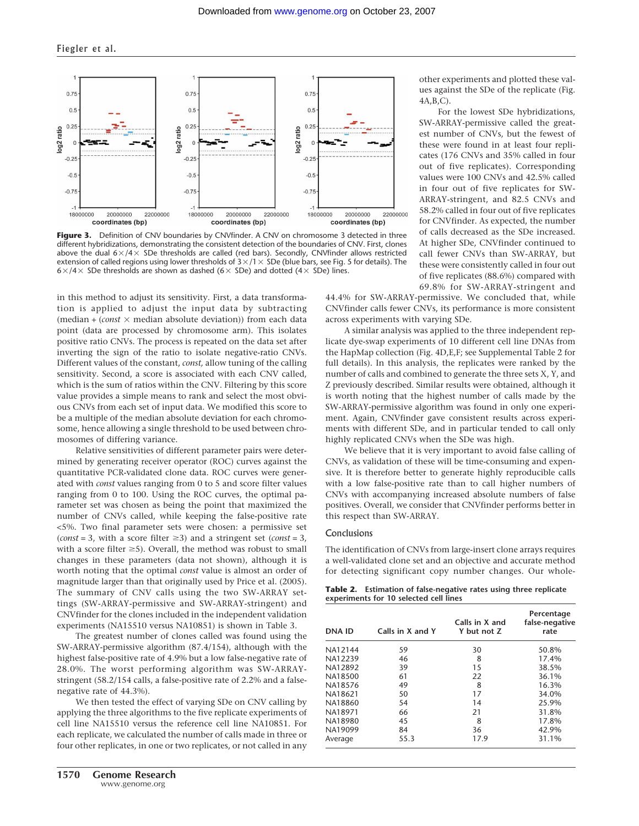

Figure 3. Definition of CNV boundaries by CNVfinder. A CNV on chromosome 3 detected in three different hybridizations, demonstrating the consistent detection of the boundaries of CNV. First, clones above the dual  $6\times/4\times$  SDe thresholds are called (red bars). Secondly, CNVfinder allows restricted extension of called regions using lower thresholds of  $3\times/1\times$  SDe (blue bars, see Fig. 5 for details). The  $6 \times /4 \times$  SDe thresholds are shown as dashed (6  $\times$  SDe) and dotted (4  $\times$  SDe) lines.

in this method to adjust its sensitivity. First, a data transformation is applied to adjust the input data by subtracting (median +  $(const \times$  median absolute deviation)) from each data point (data are processed by chromosome arm). This isolates positive ratio CNVs. The process is repeated on the data set after inverting the sign of the ratio to isolate negative-ratio CNVs. Different values of the constant, *const,* allow tuning of the calling sensitivity. Second, a score is associated with each CNV called, which is the sum of ratios within the CNV. Filtering by this score value provides a simple means to rank and select the most obvious CNVs from each set of input data. We modified this score to be a multiple of the median absolute deviation for each chromosome, hence allowing a single threshold to be used between chromosomes of differing variance.

Relative sensitivities of different parameter pairs were determined by generating receiver operator (ROC) curves against the quantitative PCR-validated clone data. ROC curves were generated with *const* values ranging from 0 to 5 and score filter values ranging from 0 to 100. Using the ROC curves, the optimal parameter set was chosen as being the point that maximized the number of CNVs called, while keeping the false-positive rate <5%. Two final parameter sets were chosen: a permissive set (*const* = 3, with a score filter  $\geq$ 3) and a stringent set (*const* = 3, with a score filter  $\geq$ 5). Overall, the method was robust to small changes in these parameters (data not shown), although it is worth noting that the optimal *const* value is almost an order of magnitude larger than that originally used by Price et al. (2005). The summary of CNV calls using the two SW-ARRAY settings (SW-ARRAY-permissive and SW-ARRAY-stringent) and CNVfinder for the clones included in the independent validation experiments (NA15510 versus NA10851) is shown in Table 3.

The greatest number of clones called was found using the SW-ARRAY-permissive algorithm (87.4/154), although with the highest false-positive rate of 4.9% but a low false-negative rate of 28.0%. The worst performing algorithm was SW-ARRAYstringent (58.2/154 calls, a false-positive rate of 2.2% and a falsenegative rate of 44.3%).

We then tested the effect of varying SDe on CNV calling by applying the three algorithms to the five replicate experiments of cell line NA15510 versus the reference cell line NA10851. For each replicate, we calculated the number of calls made in three or four other replicates, in one or two replicates, or not called in any other experiments and plotted these values against the SDe of the replicate (Fig. 4A,B,C).

For the lowest SDe hybridizations, SW-ARRAY-permissive called the greatest number of CNVs, but the fewest of these were found in at least four replicates (176 CNVs and 35% called in four out of five replicates). Corresponding values were 100 CNVs and 42.5% called in four out of five replicates for SW-ARRAY-stringent, and 82.5 CNVs and 58.2% called in four out of five replicates for CNVfinder. As expected, the number of calls decreased as the SDe increased. At higher SDe, CNVfinder continued to call fewer CNVs than SW-ARRAY, but these were consistently called in four out of five replicates (88.6%) compared with 69.8% for SW-ARRAY-stringent and

44.4% for SW-ARRAY-permissive. We concluded that, while CNVfinder calls fewer CNVs, its performance is more consistent across experiments with varying SDe.

A similar analysis was applied to the three independent replicate dye-swap experiments of 10 different cell line DNAs from the HapMap collection (Fig. 4D,E,F; see Supplemental Table 2 for full details). In this analysis, the replicates were ranked by the number of calls and combined to generate the three sets X, Y, and Z previously described. Similar results were obtained, although it is worth noting that the highest number of calls made by the SW-ARRAY-permissive algorithm was found in only one experiment. Again, CNVfinder gave consistent results across experiments with different SDe, and in particular tended to call only highly replicated CNVs when the SDe was high.

We believe that it is very important to avoid false calling of CNVs, as validation of these will be time-consuming and expensive. It is therefore better to generate highly reproducible calls with a low false-positive rate than to call higher numbers of CNVs with accompanying increased absolute numbers of false positives. Overall, we consider that CNVfinder performs better in this respect than SW-ARRAY.

## Conclusions

The identification of CNVs from large-insert clone arrays requires a well-validated clone set and an objective and accurate method for detecting significant copy number changes. Our whole-

**Table 2. Estimation of false-negative rates using three replicate experiments for 10 selected cell lines**

| <b>DNA ID</b> | Calls in X and Y | Calls in X and<br>Y but not Z | Percentage<br>false-negative<br>rate |  |  |
|---------------|------------------|-------------------------------|--------------------------------------|--|--|
| NA12144       | 59               | 30                            | 50.8%                                |  |  |
| NA12239       | 46               | 8                             | 17.4%                                |  |  |
| NA12892       | 39               | 15                            | 38.5%                                |  |  |
| NA18500       | 61               | 22                            | 36.1%                                |  |  |
| NA18576       | 49               | 8                             | 16.3%                                |  |  |
| NA18621       | 50               | 17                            | 34.0%                                |  |  |
| NA18860       | 54               | 14                            | 25.9%                                |  |  |
| NA18971       | 66               | 21                            | 31.8%                                |  |  |
| NA18980       | 45               | 8                             | 17.8%                                |  |  |
| NA19099       | 84               | 36                            | 42.9%                                |  |  |
| Average       | 55.3             | 17.9                          | 31.1%                                |  |  |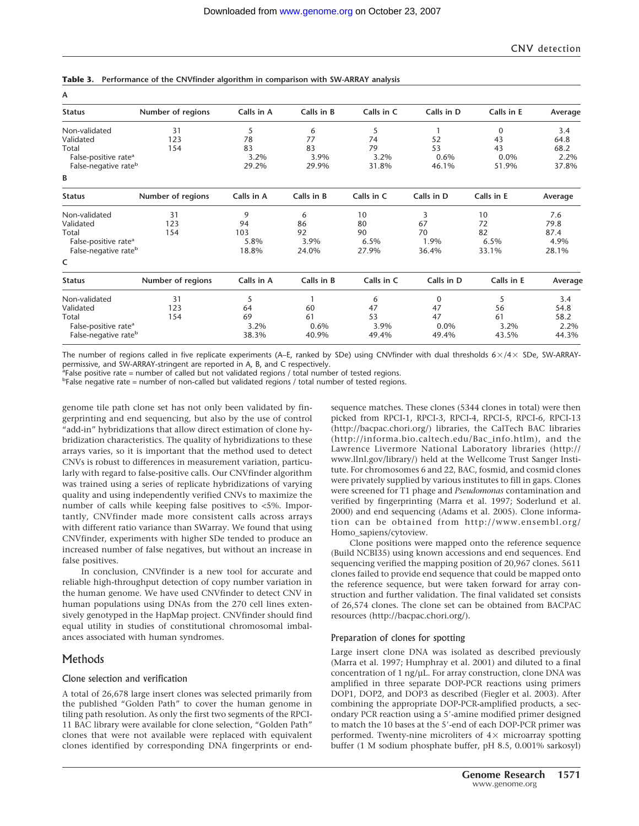| А                                                                    |                   |               |               |               |               |                  |               |  |
|----------------------------------------------------------------------|-------------------|---------------|---------------|---------------|---------------|------------------|---------------|--|
| <b>Status</b>                                                        | Number of regions | Calls in A    | Calls in B    | Calls in C    | Calls in D    | Calls in E       | Average       |  |
| Non-validated                                                        | 31                | 5             | 6             | 5             |               | $\Omega$         | 3.4           |  |
| Validated                                                            | 123               | 78            | 77            | 74            | 52            | 43               | 64.8          |  |
| Total                                                                | 154               | 83            | 83            | 79            | 53            | 43               | 68.2          |  |
| False-positive rate <sup>a</sup><br>False-negative rate <sup>b</sup> |                   | 3.2%<br>29.2% | 3.9%<br>29.9% | 3.2%<br>31.8% | 0.6%<br>46.1% | $0.0\%$<br>51.9% | 2.2%<br>37.8% |  |
| В                                                                    |                   |               |               |               |               |                  |               |  |
| <b>Status</b>                                                        | Number of regions | Calls in A    | Calls in B    | Calls in C    | Calls in D    | Calls in E       | Average       |  |
| Non-validated                                                        | 31                | 9             | 6             | 10            | 3             | 10               | 7.6           |  |
| Validated                                                            | 123               | 94            | 86            | 80            | 67            | 72               | 79.8          |  |
| Total                                                                | 154               | 103           | 92            | 90            | 70            | 82               | 87.4          |  |
| False-positive rate <sup>a</sup><br>False-negative rate <sup>b</sup> |                   | 5.8%<br>18.8% | 3.9%<br>24.0% | 6.5%<br>27.9% | 1.9%<br>36.4% | 6.5%<br>33.1%    | 4.9%<br>28.1% |  |
| c                                                                    |                   |               |               |               |               |                  |               |  |
| <b>Status</b>                                                        | Number of regions | Calls in A    | Calls in B    | Calls in C    | Calls in D    | Calls in E       | Average       |  |
| Non-validated                                                        | 31                | 5             |               | 6             | $\mathbf 0$   | 5                | 3.4           |  |
| Validated                                                            | 123               | 64            | 60            | 47            | 47            | 56               | 54.8          |  |
| Total                                                                | 154               | 69            | 61            | 53            | 47            | 61               | 58.2          |  |
| False-positive rate <sup>a</sup>                                     |                   | 3.2%          | 0.6%          | 3.9%          | 0.0%          | 3.2%             | 2.2%          |  |
| False-negative rate <sup>b</sup>                                     |                   | 38.3%         | 40.9%         | 49.4%         | 49.4%         | 43.5%            | 44.3%         |  |

#### **Table 3. Performance of the CNVfinder algorithm in comparison with SW-ARRAY analysis**

The number of regions called in five replicate experiments (A–E, ranked by SDe) using CNVfinder with dual thresholds  $6 \times /4 \times$  SDe, SW-ARRAY-<br>permissive, and SW-ARRAY-stringent are reported in A, B, and C respectively. permissive, and SW-ARRAY-stringent are reported in A, B, and C respectively.<br>ªFalse positive rate = number of called but not validated regions / total number of tested regions.

b False negative rate = number of non-called but validated regions / total number of tested regions.

genome tile path clone set has not only been validated by fingerprinting and end sequencing, but also by the use of control "add-in" hybridizations that allow direct estimation of clone hybridization characteristics. The quality of hybridizations to these arrays varies, so it is important that the method used to detect CNVs is robust to differences in measurement variation, particularly with regard to false-positive calls. Our CNVfinder algorithm was trained using a series of replicate hybridizations of varying quality and using independently verified CNVs to maximize the number of calls while keeping false positives to <5%. Importantly, CNVfinder made more consistent calls across arrays with different ratio variance than SWarray. We found that using CNVfinder, experiments with higher SDe tended to produce an increased number of false negatives, but without an increase in false positives.

In conclusion, CNVfinder is a new tool for accurate and reliable high-throughput detection of copy number variation in the human genome. We have used CNVfinder to detect CNV in human populations using DNAs from the 270 cell lines extensively genotyped in the HapMap project. CNVfinder should find equal utility in studies of constitutional chromosomal imbalances associated with human syndromes.

# **Methods**

## Clone selection and verification

A total of 26,678 large insert clones was selected primarily from the published "Golden Path" to cover the human genome in tiling path resolution. As only the first two segments of the RPCI-11 BAC library were available for clone selection, "Golden Path" clones that were not available were replaced with equivalent clones identified by corresponding DNA fingerprints or end-

sequence matches. These clones (5344 clones in total) were then picked from RPCI-1, RPCI-3, RPCI-4, RPCI-5, RPCI-6, RPCI-13 (http://bacpac.chori.org/) libraries, the CalTech BAC libraries (http://informa.bio.caltech.edu/Bac\_info.htlm), and the Lawrence Livermore National Laboratory libraries (http:// www.llnl.gov/library/) held at the Wellcome Trust Sanger Institute. For chromosomes 6 and 22, BAC, fosmid, and cosmid clones were privately supplied by various institutes to fill in gaps. Clones were screened for T1 phage and *Pseudomonas* contamination and verified by fingerprinting (Marra et al. 1997; Soderlund et al. 2000) and end sequencing (Adams et al. 2005). Clone information can be obtained from http://www.ensembl.org/ Homo\_sapiens/cytoview.

Clone positions were mapped onto the reference sequence (Build NCBI35) using known accessions and end sequences. End sequencing verified the mapping position of 20,967 clones. 5611 clones failed to provide end sequence that could be mapped onto the reference sequence, but were taken forward for array construction and further validation. The final validated set consists of 26,574 clones. The clone set can be obtained from BACPAC resources (http://bacpac.chori.org/).

## Preparation of clones for spotting

Large insert clone DNA was isolated as described previously (Marra et al. 1997; Humphray et al. 2001) and diluted to a final concentration of 1 ng/µL. For array construction, clone DNA was amplified in three separate DOP-PCR reactions using primers DOP1, DOP2, and DOP3 as described (Fiegler et al. 2003). After combining the appropriate DOP-PCR-amplified products, a secondary PCR reaction using a 5'-amine modified primer designed to match the 10 bases at the 5'-end of each DOP-PCR primer was performed. Twenty-nine microliters of  $4 \times$  microarray spotting buffer (1 M sodium phosphate buffer, pH 8.5, 0.001% sarkosyl)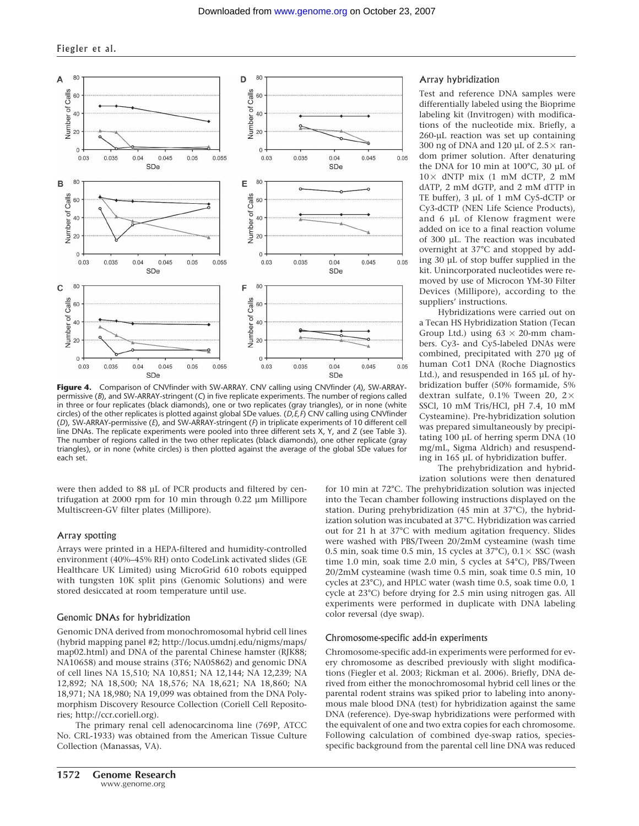

**Figure 4.** Comparison of CNVfinder with SW-ARRAY. CNV calling using CNVfinder (*A*), SW-ARRAYpermissive (*B*), and SW-ARRAY-stringent (*C*) in five replicate experiments. The number of regions called in three or four replicates (black diamonds), one or two replicates (gray triangles), or in none (white circles) of the other replicates is plotted against global SDe values. (*D,E,F*) CNV calling using CNVfinder (*D*), SW-ARRAY-permissive (*E*), and SW-ARRAY-stringent (*F*) in triplicate experiments of 10 different cell line DNAs. The replicate experiments were pooled into three different sets X, Y, and Z (see Table 3). The number of regions called in the two other replicates (black diamonds), one other replicate (gray triangles), or in none (white circles) is then plotted against the average of the global SDe values for each set.

were then added to 88 µL of PCR products and filtered by centrifugation at 2000 rpm for 10 min through 0.22 µm Millipore Multiscreen-GV filter plates (Millipore).

#### Array spotting

Arrays were printed in a HEPA-filtered and humidity-controlled environment (40%–45% RH) onto CodeLink activated slides (GE Healthcare UK Limited) using MicroGrid 610 robots equipped with tungsten 10K split pins (Genomic Solutions) and were stored desiccated at room temperature until use.

#### Genomic DNAs for hybridization

Genomic DNA derived from monochromosomal hybrid cell lines (hybrid mapping panel #2; http://locus.umdnj.edu/nigms/maps/ map02.html) and DNA of the parental Chinese hamster (RJK88; NA10658) and mouse strains (3T6; NA05862) and genomic DNA of cell lines NA 15,510; NA 10,851; NA 12,144; NA 12,239; NA 12,892; NA 18,500; NA 18,576; NA 18,621; NA 18,860; NA 18,971; NA 18,980; NA 19,099 was obtained from the DNA Polymorphism Discovery Resource Collection (Coriell Cell Repositories; http://ccr.coriell.org).

The primary renal cell adenocarcinoma line (769P, ATCC No. CRL-1933) was obtained from the American Tissue Culture Collection (Manassas, VA).

Test and reference DNA samples were differentially labeled using the Bioprime labeling kit (Invitrogen) with modifications of the nucleotide mix. Briefly, a 260-µL reaction was set up containing 300 ng of DNA and 120 µL of  $2.5 \times$  random primer solution. After denaturing the DNA for 10 min at 100°C, 30 µL of  $10\times$  dNTP mix (1 mM dCTP, 2 mM dATP, 2 mM dGTP, and 2 mM dTTP in TE buffer), 3 µL of 1 mM Cy5-dCTP or Cy3-dCTP (NEN Life Science Products), and 6 µL of Klenow fragment were added on ice to a final reaction volume of 300 µL. The reaction was incubated overnight at 37°C and stopped by adding 30 µL of stop buffer supplied in the kit. Unincorporated nucleotides were removed by use of Microcon YM-30 Filter Devices (Millipore), according to the suppliers' instructions.

Hybridizations were carried out on a Tecan HS Hybridization Station (Tecan Group Ltd.) using  $63 \times 20$ -mm chambers. Cy3- and Cy5-labeled DNAs were combined, precipitated with 270 µg of human Cot1 DNA (Roche Diagnostics Ltd.), and resuspended in 165 µL of hybridization buffer (50% formamide, 5% dextran sulfate, 0.1% Tween 20,  $2 \times$ SSCl, 10 mM Tris/HCl, pH 7.4, 10 mM Cysteamine). Pre-hybridization solution was prepared simultaneously by precipitating 100 µL of herring sperm DNA (10 mg/mL, Sigma Aldrich) and resuspending in 165 µL of hybridization buffer.

The prehybridization and hybridization solutions were then denatured

for 10 min at 72°C. The prehybridization solution was injected into the Tecan chamber following instructions displayed on the station. During prehybridization (45 min at 37°C), the hybridization solution was incubated at 37°C. Hybridization was carried out for 21 h at 37°C with medium agitation frequency. Slides were washed with PBS/Tween 20/2mM cysteamine (wash time 0.5 min, soak time 0.5 min, 15 cycles at  $37^{\circ}$ C),  $0.1 \times$  SSC (wash time 1.0 min, soak time 2.0 min, 5 cycles at 54°C), PBS/Tween 20/2mM cysteamine (wash time 0.5 min, soak time 0.5 min, 10 cycles at 23°C), and HPLC water (wash time 0.5, soak time 0.0, 1 cycle at 23°C) before drying for 2.5 min using nitrogen gas. All experiments were performed in duplicate with DNA labeling color reversal (dye swap).

#### Chromosome-specific add-in experiments

Chromosome-specific add-in experiments were performed for every chromosome as described previously with slight modifications (Fiegler et al. 2003; Rickman et al. 2006). Briefly, DNA derived from either the monochromosomal hybrid cell lines or the parental rodent strains was spiked prior to labeling into anonymous male blood DNA (test) for hybridization against the same DNA (reference). Dye-swap hybridizations were performed with the equivalent of one and two extra copies for each chromosome. Following calculation of combined dye-swap ratios, speciesspecific background from the parental cell line DNA was reduced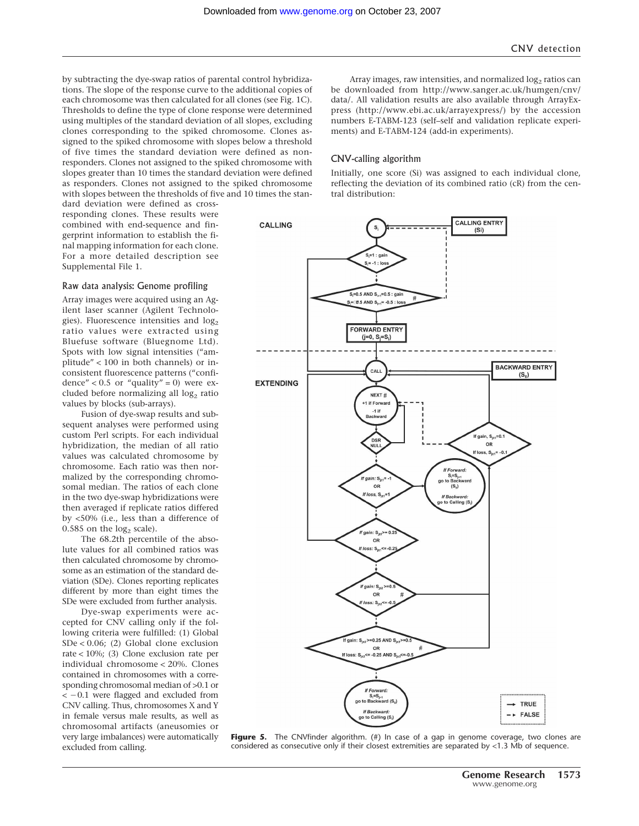by subtracting the dye-swap ratios of parental control hybridizations. The slope of the response curve to the additional copies of each chromosome was then calculated for all clones (see Fig. 1C). Thresholds to define the type of clone response were determined using multiples of the standard deviation of all slopes, excluding clones corresponding to the spiked chromosome. Clones assigned to the spiked chromosome with slopes below a threshold of five times the standard deviation were defined as nonresponders. Clones not assigned to the spiked chromosome with slopes greater than 10 times the standard deviation were defined as responders. Clones not assigned to the spiked chromosome with slopes between the thresholds of five and 10 times the stan-

dard deviation were defined as crossresponding clones. These results were combined with end-sequence and fingerprint information to establish the final mapping information for each clone. For a more detailed description see Supplemental File 1.

## Raw data analysis: Genome profiling

Array images were acquired using an Agilent laser scanner (Agilent Technologies). Fluorescence intensities and  $log<sub>2</sub>$ ratio values were extracted using Bluefuse software (Bluegnome Ltd). Spots with low signal intensities ("amplitude" < 100 in both channels) or inconsistent fluorescence patterns ("confidence" <  $0.5$  or "quality" = 0) were excluded before normalizing all log<sub>2</sub> ratio values by blocks (sub-arrays).

Fusion of dye-swap results and subsequent analyses were performed using custom Perl scripts. For each individual hybridization, the median of all ratio values was calculated chromosome by chromosome. Each ratio was then normalized by the corresponding chromosomal median. The ratios of each clone in the two dye-swap hybridizations were then averaged if replicate ratios differed by <50% (i.e., less than a difference of 0.585 on the  $log<sub>2</sub>$  scale).

The 68.2th percentile of the absolute values for all combined ratios was then calculated chromosome by chromosome as an estimation of the standard deviation (SDe). Clones reporting replicates different by more than eight times the SDe were excluded from further analysis.

Dye-swap experiments were accepted for CNV calling only if the following criteria were fulfilled: (1) Global SDe < 0.06; (2) Global clone exclusion rate < 10%; (3) Clone exclusion rate per individual chromosome < 20%. Clones contained in chromosomes with a corresponding chromosomal median of >0.1 or  $<-0.1$  were flagged and excluded from CNV calling. Thus, chromosomes X and Y in female versus male results, as well as chromosomal artifacts (aneusomies or very large imbalances) were automatically excluded from calling.

Array images, raw intensities, and normalized  $\log_2$  ratios can be downloaded from http://www.sanger.ac.uk/humgen/cnv/ data/. All validation results are also available through ArrayExpress (http://www.ebi.ac.uk/arrayexpress/) by the accession numbers E-TABM-123 (self–self and validation replicate experiments) and E-TABM-124 (add-in experiments).

# CNV-calling algorithm

Initially, one score (Si) was assigned to each individual clone, reflecting the deviation of its combined ratio (cR) from the central distribution:



**Figure 5.** The CNVfinder algorithm. (#) In case of a gap in genome coverage, two clones are considered as consecutive only if their closest extremities are separated by <1.3 Mb of sequence.